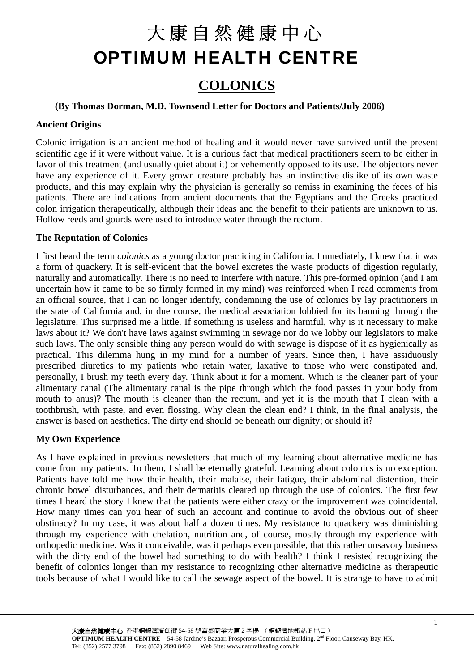## **COLONICS**

#### **(By Thomas Dorman, M.D. Townsend Letter for Doctors and Patients/July 2006)**

#### **Ancient Origins**

Colonic irrigation is an ancient method of healing and it would never have survived until the present scientific age if it were without value. It is a curious fact that medical practitioners seem to be either in favor of this treatment (and usually quiet about it) or vehemently opposed to its use. The objectors never have any experience of it. Every grown creature probably has an instinctive dislike of its own waste products, and this may explain why the physician is generally so remiss in examining the feces of his patients. There are indications from ancient documents that the Egyptians and the Greeks practiced colon irrigation therapeutically, although their ideas and the benefit to their patients are unknown to us. Hollow reeds and gourds were used to introduce water through the rectum.

#### **The Reputation of Colonics**

I first heard the term *colonics* as a young doctor practicing in California. Immediately, I knew that it was a form of quackery. It is self-evident that the bowel excretes the waste products of digestion regularly, naturally and automatically. There is no need to interfere with nature. This pre-formed opinion (and I am uncertain how it came to be so firmly formed in my mind) was reinforced when I read comments from an official source, that I can no longer identify, condemning the use of colonics by lay practitioners in the state of California and, in due course, the medical association lobbied for its banning through the legislature. This surprised me a little. If something is useless and harmful, why is it necessary to make laws about it? We don't have laws against swimming in sewage nor do we lobby our legislators to make such laws. The only sensible thing any person would do with sewage is dispose of it as hygienically as practical. This dilemma hung in my mind for a number of years. Since then, I have assiduously prescribed diuretics to my patients who retain water, laxative to those who were constipated and, personally, I brush my teeth every day. Think about it for a moment. Which is the cleaner part of your alimentary canal (The alimentary canal is the pipe through which the food passes in your body from mouth to anus)? The mouth is cleaner than the rectum, and yet it is the mouth that I clean with a toothbrush, with paste, and even flossing. Why clean the clean end? I think, in the final analysis, the answer is based on aesthetics. The dirty end should be beneath our dignity; or should it?

#### **My Own Experience**

As I have explained in previous newsletters that much of my learning about alternative medicine has come from my patients. To them, I shall be eternally grateful. Learning about colonics is no exception. Patients have told me how their health, their malaise, their fatigue, their abdominal distention, their chronic bowel disturbances, and their dermatitis cleared up through the use of colonics. The first few times I heard the story I knew that the patients were either crazy or the improvement was coincidental. How many times can you hear of such an account and continue to avoid the obvious out of sheer obstinacy? In my case, it was about half a dozen times. My resistance to quackery was diminishing through my experience with chelation, nutrition and, of course, mostly through my experience with orthopedic medicine. Was it conceivable, was it perhaps even possible, that this rather unsavory business with the dirty end of the bowel had something to do with health? I think I resisted recognizing the benefit of colonics longer than my resistance to recognizing other alternative medicine as therapeutic tools because of what I would like to call the sewage aspect of the bowel. It is strange to have to admit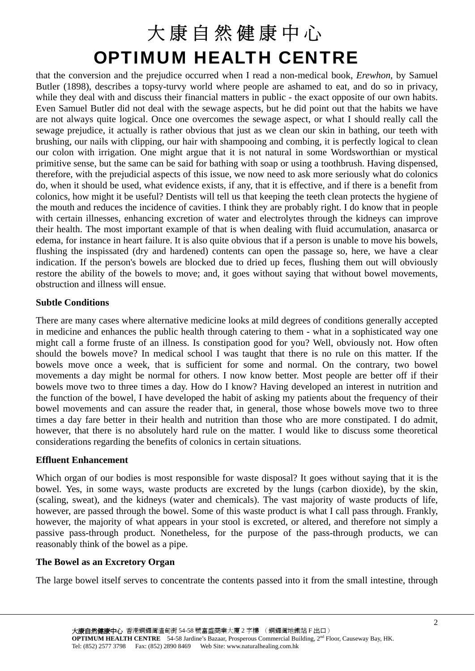that the conversion and the prejudice occurred when I read a non-medical book, *Erewhon,* by Samuel Butler (1898), describes a topsy-turvy world where people are ashamed to eat, and do so in privacy, while they deal with and discuss their financial matters in public - the exact opposite of our own habits. Even Samuel Butler did not deal with the sewage aspects, but he did point out that the habits we have are not always quite logical. Once one overcomes the sewage aspect, or what I should really call the sewage prejudice, it actually is rather obvious that just as we clean our skin in bathing, our teeth with brushing, our nails with clipping, our hair with shampooing and combing, it is perfectly logical to clean our colon with irrigation. One might argue that it is not natural in some Wordsworthian or mystical primitive sense, but the same can be said for bathing with soap or using a toothbrush. Having dispensed, therefore, with the prejudicial aspects of this issue, we now need to ask more seriously what do colonics do, when it should be used, what evidence exists, if any, that it is effective, and if there is a benefit from colonics, how might it be useful? Dentists will tell us that keeping the teeth clean protects the hygiene of the mouth and reduces the incidence of cavities. I think they are probably right. I do know that in people with certain illnesses, enhancing excretion of water and electrolytes through the kidneys can improve their health. The most important example of that is when dealing with fluid accumulation, anasarca or edema, for instance in heart failure. It is also quite obvious that if a person is unable to move his bowels, flushing the inspissated (dry and hardened) contents can open the passage so, here, we have a clear indication. If the person's bowels are blocked due to dried up feces, flushing them out will obviously restore the ability of the bowels to move; and, it goes without saying that without bowel movements, obstruction and illness will ensue.

### **Subtle Conditions**

There are many cases where alternative medicine looks at mild degrees of conditions generally accepted in medicine and enhances the public health through catering to them - what in a sophisticated way one might call a forme fruste of an illness. Is constipation good for you? Well, obviously not. How often should the bowels move? In medical school I was taught that there is no rule on this matter. If the bowels move once a week, that is sufficient for some and normal. On the contrary, two bowel movements a day might be normal for others. I now know better. Most people are better off if their bowels move two to three times a day. How do I know? Having developed an interest in nutrition and the function of the bowel, I have developed the habit of asking my patients about the frequency of their bowel movements and can assure the reader that, in general, those whose bowels move two to three times a day fare better in their health and nutrition than those who are more constipated. I do admit, however, that there is no absolutely hard rule on the matter. I would like to discuss some theoretical considerations regarding the benefits of colonics in certain situations.

#### **Effluent Enhancement**

Which organ of our bodies is most responsible for waste disposal? It goes without saying that it is the bowel. Yes, in some ways, waste products are excreted by the lungs (carbon dioxide), by the skin, (scaling, sweat), and the kidneys (water and chemicals). The vast majority of waste products of life, however, are passed through the bowel. Some of this waste product is what I call pass through. Frankly, however, the majority of what appears in your stool is excreted, or altered, and therefore not simply a passive pass-through product. Nonetheless, for the purpose of the pass-through products, we can reasonably think of the bowel as a pipe.

#### **The Bowel as an Excretory Organ**

The large bowel itself serves to concentrate the contents passed into it from the small intestine, through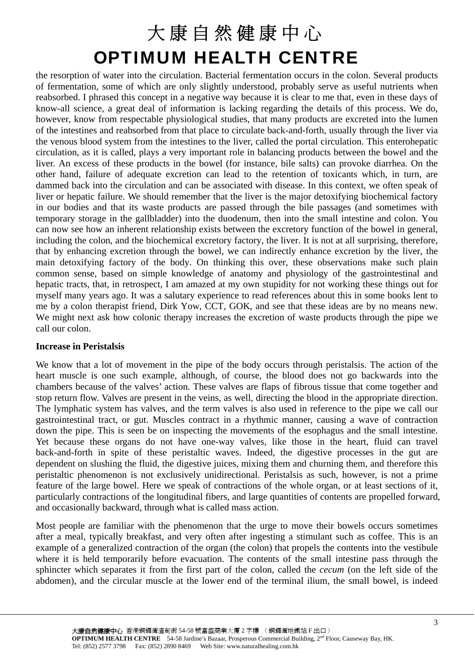the resorption of water into the circulation. Bacterial fermentation occurs in the colon. Several products of fermentation, some of which are only slightly understood, probably serve as useful nutrients when reabsorbed. I phrased this concept in a negative way because it is clear to me that, even in these days of know-all science, a great deal of information is lacking regarding the details of this process. We do, however, know from respectable physiological studies, that many products are excreted into the lumen of the intestines and reabsorbed from that place to circulate back-and-forth, usually through the liver via the venous blood system from the intestines to the liver, called the portal circulation. This enterohepatic circulation, as it is called, plays a very important role in balancing products between the bowel and the liver. An excess of these products in the bowel (for instance, bile salts) can provoke diarrhea. On the other hand, failure of adequate excretion can lead to the retention of toxicants which, in turn, are dammed back into the circulation and can be associated with disease. In this context, we often speak of liver or hepatic failure. We should remember that the liver is the major detoxifying biochemical factory in our bodies and that its waste products are passed through the bile passages (and sometimes with temporary storage in the gallbladder) into the duodenum, then into the small intestine and colon. You can now see how an inherent relationship exists between the excretory function of the bowel in general, including the colon, and the biochemical excretory factory, the liver. It is not at all surprising, therefore, that by enhancing excretion through the bowel, we can indirectly enhance excretion by the liver, the main detoxifying factory of the body. On thinking this over, these observations make such plain common sense, based on simple knowledge of anatomy and physiology of the gastrointestinal and hepatic tracts, that, in retrospect, I am amazed at my own stupidity for not working these things out for myself many years ago. It was a salutary experience to read references about this in some books lent to me by a colon therapist friend, Dirk Yow, CCT, GOK, and see that these ideas are by no means new. We might next ask how colonic therapy increases the excretion of waste products through the pipe we call our colon.

### **Increase in Peristalsis**

We know that a lot of movement in the pipe of the body occurs through peristalsis. The action of the heart muscle is one such example, although, of course, the blood does not go backwards into the chambers because of the valves' action. These valves are flaps of fibrous tissue that come together and stop return flow. Valves are present in the veins, as well, directing the blood in the appropriate direction. The lymphatic system has valves, and the term valves is also used in reference to the pipe we call our gastrointestinal tract, or gut. Muscles contract in a rhythmic manner, causing a wave of contraction down the pipe. This is seen be on inspecting the movements of the esophagus and the small intestine. Yet because these organs do not have one-way valves, like those in the heart, fluid can travel back-and-forth in spite of these peristaltic waves. Indeed, the digestive processes in the gut are dependent on slushing the fluid, the digestive juices, mixing them and churning them, and therefore this peristaltic phenomenon is not exclusively unidirectional. Peristalsis as such, however, is not a prime feature of the large bowel. Here we speak of contractions of the whole organ, or at least sections of it, particularly contractions of the longitudinal fibers, and large quantities of contents are propelled forward, and occasionally backward, through what is called mass action.

Most people are familiar with the phenomenon that the urge to move their bowels occurs sometimes after a meal, typically breakfast, and very often after ingesting a stimulant such as coffee. This is an example of a generalized contraction of the organ (the colon) that propels the contents into the vestibule where it is held temporarily before evacuation. The contents of the small intestine pass through the sphincter which separates it from the first part of the colon, called the *cecum* (on the left side of the abdomen), and the circular muscle at the lower end of the terminal ilium, the small bowel, is indeed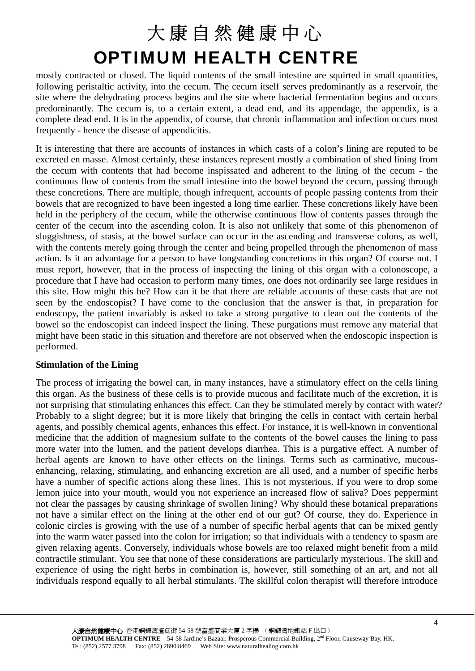mostly contracted or closed. The liquid contents of the small intestine are squirted in small quantities, following peristaltic activity, into the cecum. The cecum itself serves predominantly as a reservoir, the site where the dehydrating process begins and the site where bacterial fermentation begins and occurs predominantly. The cecum is, to a certain extent, a dead end, and its appendage, the appendix, is a complete dead end. It is in the appendix, of course, that chronic inflammation and infection occurs most frequently - hence the disease of appendicitis.

It is interesting that there are accounts of instances in which casts of a colon's lining are reputed to be excreted en masse. Almost certainly, these instances represent mostly a combination of shed lining from the cecum with contents that had become inspissated and adherent to the lining of the cecum - the continuous flow of contents from the small intestine into the bowel beyond the cecum, passing through these concretions. There are multiple, though infrequent, accounts of people passing contents from their bowels that are recognized to have been ingested a long time earlier. These concretions likely have been held in the periphery of the cecum, while the otherwise continuous flow of contents passes through the center of the cecum into the ascending colon. It is also not unlikely that some of this phenomenon of sluggishness, of stasis, at the bowel surface can occur in the ascending and transverse colons, as well, with the contents merely going through the center and being propelled through the phenomenon of mass action. Is it an advantage for a person to have longstanding concretions in this organ? Of course not. I must report, however, that in the process of inspecting the lining of this organ with a colonoscope, a procedure that I have had occasion to perform many times, one does not ordinarily see large residues in this site. How might this be? How can it be that there are reliable accounts of these casts that are not seen by the endoscopist? I have come to the conclusion that the answer is that, in preparation for endoscopy, the patient invariably is asked to take a strong purgative to clean out the contents of the bowel so the endoscopist can indeed inspect the lining. These purgations must remove any material that might have been static in this situation and therefore are not observed when the endoscopic inspection is performed.

### **Stimulation of the Lining**

The process of irrigating the bowel can, in many instances, have a stimulatory effect on the cells lining this organ. As the business of these cells is to provide mucous and facilitate much of the excretion, it is not surprising that stimulating enhances this effect. Can they be stimulated merely by contact with water? Probably to a slight degree; but it is more likely that bringing the cells in contact with certain herbal agents, and possibly chemical agents, enhances this effect. For instance, it is well-known in conventional medicine that the addition of magnesium sulfate to the contents of the bowel causes the lining to pass more water into the lumen, and the patient develops diarrhea. This is a purgative effect. A number of herbal agents are known to have other effects on the linings. Terms such as carminative, mucousenhancing, relaxing, stimulating, and enhancing excretion are all used, and a number of specific herbs have a number of specific actions along these lines. This is not mysterious. If you were to drop some lemon juice into your mouth, would you not experience an increased flow of saliva? Does peppermint not clear the passages by causing shrinkage of swollen lining? Why should these botanical preparations not have a similar effect on the lining at the other end of our gut? Of course, they do. Experience in colonic circles is growing with the use of a number of specific herbal agents that can be mixed gently into the warm water passed into the colon for irrigation; so that individuals with a tendency to spasm are given relaxing agents. Conversely, individuals whose bowels are too relaxed might benefit from a mild contractile stimulant. You see that none of these considerations are particularly mysterious. The skill and experience of using the right herbs in combination is, however, still something of an art, and not all individuals respond equally to all herbal stimulants. The skillful colon therapist will therefore introduce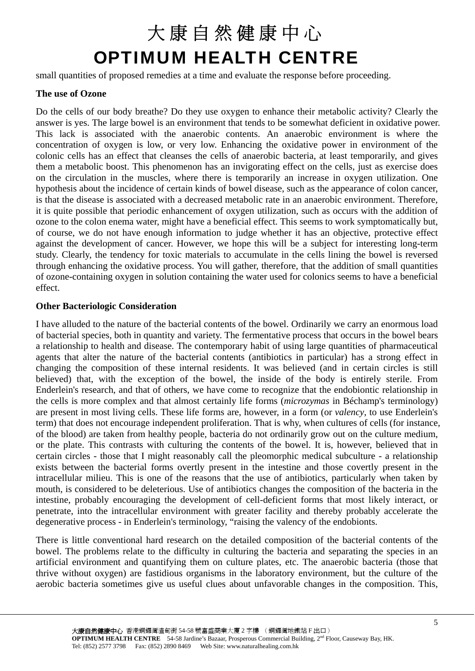small quantities of proposed remedies at a time and evaluate the response before proceeding.

### **The use of Ozone**

Do the cells of our body breathe? Do they use oxygen to enhance their metabolic activity? Clearly the answer is yes. The large bowel is an environment that tends to be somewhat deficient in oxidative power. This lack is associated with the anaerobic contents. An anaerobic environment is where the concentration of oxygen is low, or very low. Enhancing the oxidative power in environment of the colonic cells has an effect that cleanses the cells of anaerobic bacteria, at least temporarily, and gives them a metabolic boost. This phenomenon has an invigorating effect on the cells, just as exercise does on the circulation in the muscles, where there is temporarily an increase in oxygen utilization. One hypothesis about the incidence of certain kinds of bowel disease, such as the appearance of colon cancer, is that the disease is associated with a decreased metabolic rate in an anaerobic environment. Therefore, it is quite possible that periodic enhancement of oxygen utilization, such as occurs with the addition of ozone to the colon enema water, might have a beneficial effect. This seems to work symptomatically but, of course, we do not have enough information to judge whether it has an objective, protective effect against the development of cancer. However, we hope this will be a subject for interesting long-term study. Clearly, the tendency for toxic materials to accumulate in the cells lining the bowel is reversed through enhancing the oxidative process. You will gather, therefore, that the addition of small quantities of ozone-containing oxygen in solution containing the water used for colonics seems to have a beneficial effect.

### **Other Bacteriologic Consideration**

I have alluded to the nature of the bacterial contents of the bowel. Ordinarily we carry an enormous load of bacterial species, both in quantity and variety. The fermentative process that occurs in the bowel bears a relationship to health and disease. The contemporary habit of using large quantities of pharmaceutical agents that alter the nature of the bacterial contents (antibiotics in particular) has a strong effect in changing the composition of these internal residents. It was believed (and in certain circles is still believed) that, with the exception of the bowel, the inside of the body is entirely sterile. From Enderlein's research, and that of others, we have come to recognize that the endobiontic relationship in the cells is more complex and that almost certainly life forms (*microzymas* in Béchamp's terminology) are present in most living cells. These life forms are, however, in a form (or *valency*, to use Enderlein's term) that does not encourage independent proliferation. That is why, when cultures of cells (for instance, of the blood) are taken from healthy people, bacteria do not ordinarily grow out on the culture medium, or the plate. This contrasts with culturing the contents of the bowel. It is, however, believed that in certain circles - those that I might reasonably call the pleomorphic medical subculture - a relationship exists between the bacterial forms overtly present in the intestine and those covertly present in the intracellular milieu. This is one of the reasons that the use of antibiotics, particularly when taken by mouth, is considered to be deleterious. Use of antibiotics changes the composition of the bacteria in the intestine, probably encouraging the development of cell-deficient forms that most likely interact, or penetrate, into the intracellular environment with greater facility and thereby probably accelerate the degenerative process - in Enderlein's terminology, "raising the valency of the endobionts.

There is little conventional hard research on the detailed composition of the bacterial contents of the bowel. The problems relate to the difficulty in culturing the bacteria and separating the species in an artificial environment and quantifying them on culture plates, etc. The anaerobic bacteria (those that thrive without oxygen) are fastidious organisms in the laboratory environment, but the culture of the aerobic bacteria sometimes give us useful clues about unfavorable changes in the composition. This,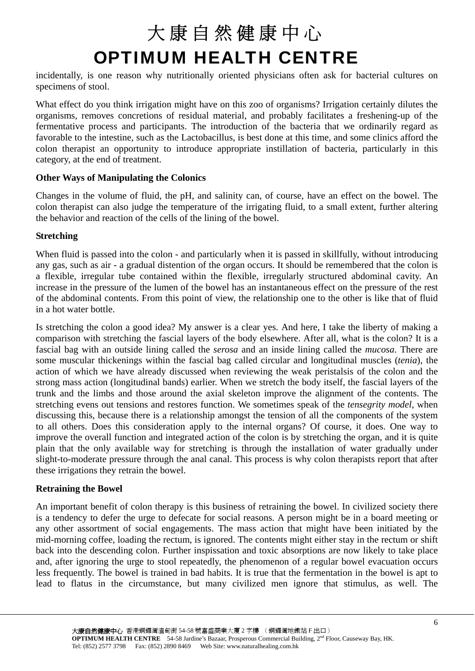incidentally, is one reason why nutritionally oriented physicians often ask for bacterial cultures on specimens of stool.

What effect do you think irrigation might have on this zoo of organisms? Irrigation certainly dilutes the organisms, removes concretions of residual material, and probably facilitates a freshening-up of the fermentative process and participants. The introduction of the bacteria that we ordinarily regard as favorable to the intestine, such as the Lactobacillus, is best done at this time, and some clinics afford the colon therapist an opportunity to introduce appropriate instillation of bacteria, particularly in this category, at the end of treatment.

### **Other Ways of Manipulating the Colonics**

Changes in the volume of fluid, the pH, and salinity can, of course, have an effect on the bowel. The colon therapist can also judge the temperature of the irrigating fluid, to a small extent, further altering the behavior and reaction of the cells of the lining of the bowel.

### **Stretching**

When fluid is passed into the colon - and particularly when it is passed in skillfully, without introducing any gas, such as air - a gradual distention of the organ occurs. It should be remembered that the colon is a flexible, irregular tube contained within the flexible, irregularly structured abdominal cavity. An increase in the pressure of the lumen of the bowel has an instantaneous effect on the pressure of the rest of the abdominal contents. From this point of view, the relationship one to the other is like that of fluid in a hot water bottle.

Is stretching the colon a good idea? My answer is a clear yes. And here, I take the liberty of making a comparison with stretching the fascial layers of the body elsewhere. After all, what is the colon? It is a fascial bag with an outside lining called the *serosa* and an inside lining called the *mucosa*. There are some muscular thickenings within the fascial bag called circular and longitudinal muscles (*tenia*), the action of which we have already discussed when reviewing the weak peristalsis of the colon and the strong mass action (longitudinal bands) earlier. When we stretch the body itself, the fascial layers of the trunk and the limbs and those around the axial skeleton improve the alignment of the contents. The stretching evens out tensions and restores function. We sometimes speak of the *tensegrity model*, when discussing this, because there is a relationship amongst the tension of all the components of the system to all others. Does this consideration apply to the internal organs? Of course, it does. One way to improve the overall function and integrated action of the colon is by stretching the organ, and it is quite plain that the only available way for stretching is through the installation of water gradually under slight-to-moderate pressure through the anal canal. This process is why colon therapists report that after these irrigations they retrain the bowel.

### **Retraining the Bowel**

An important benefit of colon therapy is this business of retraining the bowel. In civilized society there is a tendency to defer the urge to defecate for social reasons. A person might be in a board meeting or any other assortment of social engagements. The mass action that might have been initiated by the mid-morning coffee, loading the rectum, is ignored. The contents might either stay in the rectum or shift back into the descending colon. Further inspissation and toxic absorptions are now likely to take place and, after ignoring the urge to stool repeatedly, the phenomenon of a regular bowel evacuation occurs less frequently. The bowel is trained in bad habits. It is true that the fermentation in the bowel is apt to lead to flatus in the circumstance, but many civilized men ignore that stimulus, as well. The